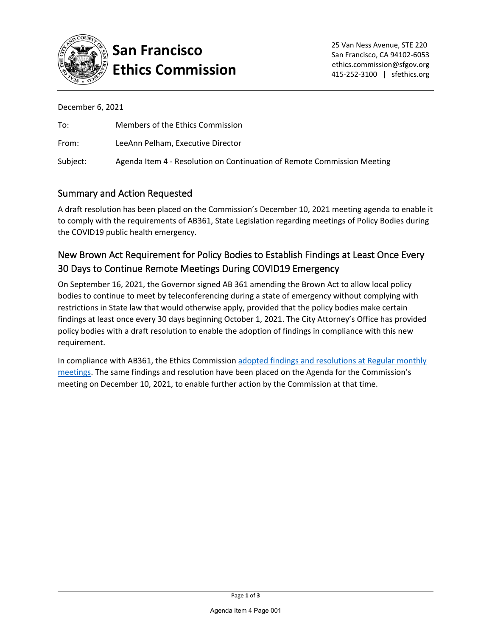

# **San Francisco Ethics Commission**

December 6, 2021

| To:      | Members of the Ethics Commission                                        |
|----------|-------------------------------------------------------------------------|
| From:    | LeeAnn Pelham, Executive Director                                       |
| Subject: | Agenda Item 4 - Resolution on Continuation of Remote Commission Meeting |

### Summary and Action Requested

A draft resolution has been placed on the Commission's December 10, 2021 meeting agenda to enable it to comply with the requirements of AB361, State Legislation regarding meetings of Policy Bodies during the COVID19 public health emergency.

## New Brown Act Requirement for Policy Bodies to Establish Findings at Least Once Every 30 Days to Continue Remote Meetings During COVID19 Emergency

On September 16, 2021, the Governor signed AB 361 amending the Brown Act to allow local policy bodies to continue to meet by teleconferencing during a state of emergency without complying with restrictions in State law that would otherwise apply, provided that the policy bodies make certain findings at least once every 30 days beginning October 1, 2021. The City Attorney's Office has provided policy bodies with a draft resolution to enable the adoption of findings in compliance with this new requirement.

In compliance with AB361, the Ethics Commissio[n adopted findings and resolutions at](https://sfethics.org/ethics/2021/10/new-brown-act-requirement-for-policy-bodies-to-establish-findings-at-least-once-every-30-days-to-continue-remote-meetings-during-covid19-emergency.html) Regular monthly [meetings.](https://sfethics.org/ethics/2021/10/new-brown-act-requirement-for-policy-bodies-to-establish-findings-at-least-once-every-30-days-to-continue-remote-meetings-during-covid19-emergency.html) The same findings and resolution have been placed on the Agenda for the Commission's meeting on December 10, 2021, to enable further action by the Commission at that time.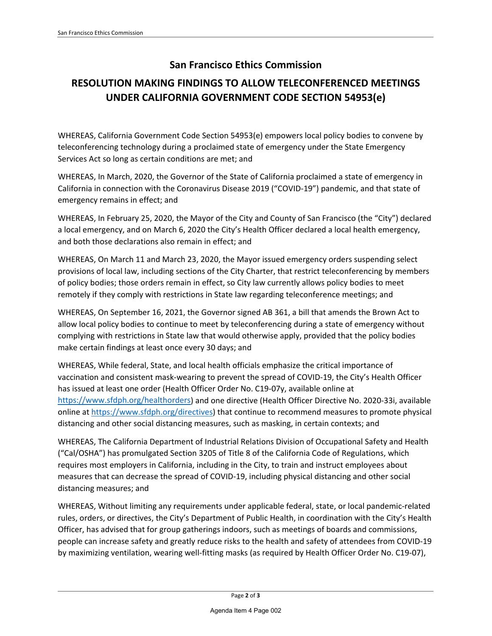### **San Francisco Ethics Commission**

# **RESOLUTION MAKING FINDINGS TO ALLOW TELECONFERENCED MEETINGS UNDER CALIFORNIA GOVERNMENT CODE SECTION 54953(e)**

WHEREAS, California Government Code Section 54953(e) empowers local policy bodies to convene by teleconferencing technology during a proclaimed state of emergency under the State Emergency Services Act so long as certain conditions are met; and

WHEREAS, In March, 2020, the Governor of the State of California proclaimed a state of emergency in California in connection with the Coronavirus Disease 2019 ("COVID-19") pandemic, and that state of emergency remains in effect; and

WHEREAS, In February 25, 2020, the Mayor of the City and County of San Francisco (the "City") declared a local emergency, and on March 6, 2020 the City's Health Officer declared a local health emergency, and both those declarations also remain in effect; and

WHEREAS, On March 11 and March 23, 2020, the Mayor issued emergency orders suspending select provisions of local law, including sections of the City Charter, that restrict teleconferencing by members of policy bodies; those orders remain in effect, so City law currently allows policy bodies to meet remotely if they comply with restrictions in State law regarding teleconference meetings; and

WHEREAS, On September 16, 2021, the Governor signed AB 361, a bill that amends the Brown Act to allow local policy bodies to continue to meet by teleconferencing during a state of emergency without complying with restrictions in State law that would otherwise apply, provided that the policy bodies make certain findings at least once every 30 days; and

WHEREAS, While federal, State, and local health officials emphasize the critical importance of vaccination and consistent mask-wearing to prevent the spread of COVID-19, the City's Health Officer has issued at least one order (Health Officer Order No. C19-07y, available online at [https://www.sfdph.org/healthorders\)](https://www.sfdph.org/healthorders) and one directive (Health Officer Directive No. 2020-33i, available online at [https://www.sfdph.org/directives\)](https://www.sfdph.org/directives) that continue to recommend measures to promote physical distancing and other social distancing measures, such as masking, in certain contexts; and

WHEREAS, The California Department of Industrial Relations Division of Occupational Safety and Health ("Cal/OSHA") has promulgated Section 3205 of Title 8 of the California Code of Regulations, which requires most employers in California, including in the City, to train and instruct employees about measures that can decrease the spread of COVID-19, including physical distancing and other social distancing measures; and

WHEREAS, Without limiting any requirements under applicable federal, state, or local pandemic-related rules, orders, or directives, the City's Department of Public Health, in coordination with the City's Health Officer, has advised that for group gatherings indoors, such as meetings of boards and commissions, people can increase safety and greatly reduce risks to the health and safety of attendees from COVID-19 by maximizing ventilation, wearing well-fitting masks (as required by Health Officer Order No. C19-07),